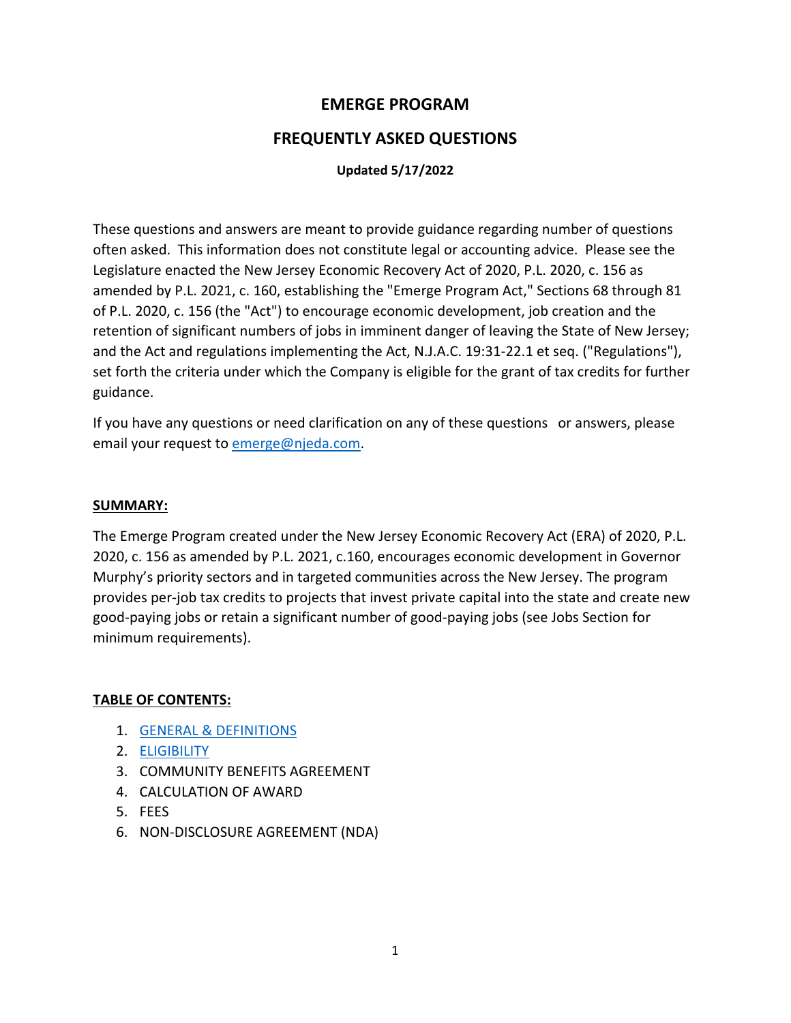## **EMERGE PROGRAM**

### **FREQUENTLY ASKED QUESTIONS**

#### **Updated 5/17/2022**

These questions and answers are meant to provide guidance regarding number of questions often asked. This information does not constitute legal or accounting advice. Please see the Legislature enacted the New Jersey Economic Recovery Act of 2020, P.L. 2020, c. 156 as amended by P.L. 2021, c. 160, establishing the "Emerge Program Act," Sections 68 through 81 of P.L. 2020, c. 156 (the "Act") to encourage economic development, job creation and the retention of significant numbers of jobs in imminent danger of leaving the State of New Jersey; and the Act and regulations implementing the Act, N.J.A.C. 19:31-22.1 et seq. ("Regulations"), set forth the criteria under which the Company is eligible for the grant of tax credits for further guidance.

If you have any questions or need clarification on any of these questions or answers, please email your request t[o emerge@njeda.com.](mailto:emerge@njeda.com)

#### **SUMMARY:**

The Emerge Program created under the New Jersey Economic Recovery Act (ERA) of 2020, P.L. 2020, c. 156 as amended by P.L. 2021, c.160, encourages economic development in Governor Murphy's priority sectors and in targeted communities across the New Jersey. The program provides per-job tax credits to projects that invest private capital into the state and create new good-paying jobs or retain a significant number of good-paying jobs (see Jobs Section for minimum requirements).

#### **TABLE OF CONTENTS:**

- 1. GENERAL [& DEFINITIONS](#page-1-0)
- 2. [ELIGIBILITY](#page-7-0)
- 3. COMMUNITY BENEFITS AGREEMENT
- 4. CALCULATION OF AWARD
- 5. FEES
- 6. NON-DISCLOSURE AGREEMENT (NDA)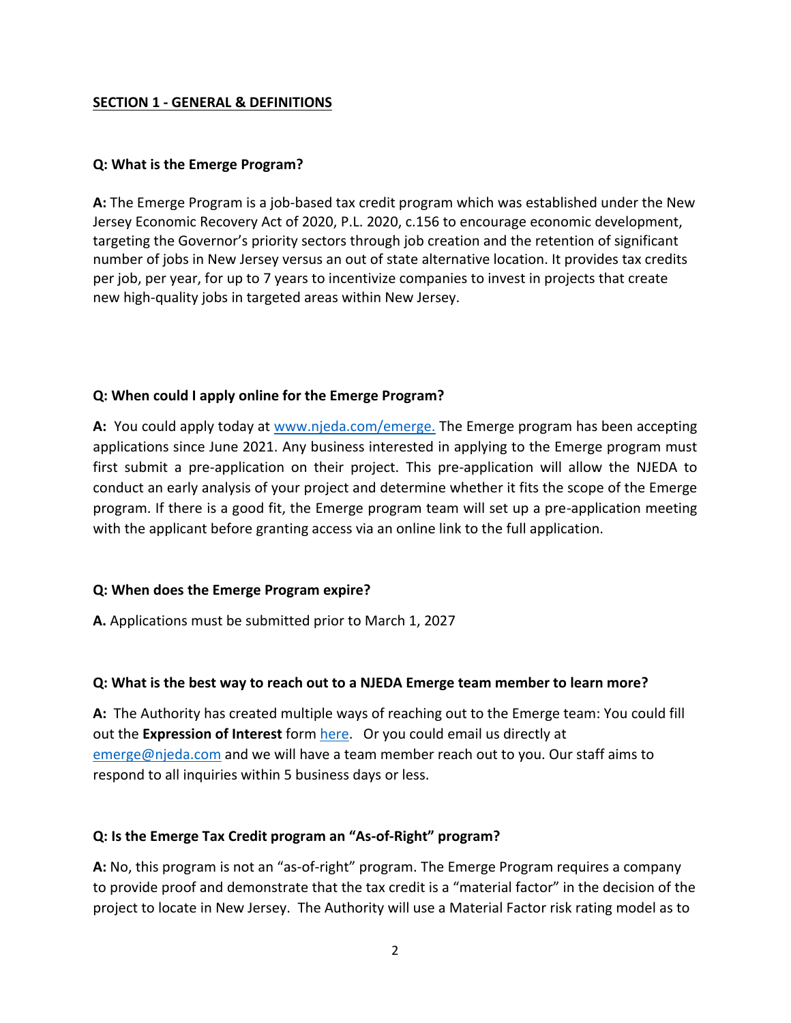#### <span id="page-1-0"></span>**SECTION 1 - GENERAL & DEFINITIONS**

#### **Q: What is the Emerge Program?**

**A:** The Emerge Program is a job-based tax credit program which was established under the New Jersey Economic Recovery Act of 2020, P.L. 2020, c.156 to encourage economic development, targeting the Governor's priority sectors through job creation and the retention of significant number of jobs in New Jersey versus an out of state alternative location. It provides tax credits per job, per year, for up to 7 years to incentivize companies to invest in projects that create new high-quality jobs in targeted areas within New Jersey.

#### **Q: When could I apply online for the Emerge Program?**

**A:** You could apply today at [www.njeda.com/emerge.](https://forms.business.nj.gov/emerge/) The Emerge program has been accepting applications since June 2021. Any business interested in applying to the Emerge program must first submit a pre-application on their project. This pre-application will allow the NJEDA to conduct an early analysis of your project and determine whether it fits the scope of the Emerge program. If there is a good fit, the Emerge program team will set up a pre-application meeting with the applicant before granting access via an online link to the full application.

### **Q: When does the Emerge Program expire?**

**A.** Applications must be submitted prior to March 1, 2027

### **Q: What is the best way to reach out to a NJEDA Emerge team member to learn more?**

**A:** The Authority has created multiple ways of reaching out to the Emerge team: You could fill out the **Expression of Interest** form [here.](https://www.njeda.com/emerge-expression-of-interest-form/) Or you could email us directly at [emerge@njeda.com](mailto:emerge@njeda.com) and we will have a team member reach out to you. Our staff aims to respond to all inquiries within 5 business days or less.

### **Q: Is the Emerge Tax Credit program an "As-of-Right" program?**

**A:** No, this program is not an "as-of-right" program. The Emerge Program requires a company to provide proof and demonstrate that the tax credit is a "material factor" in the decision of the project to locate in New Jersey. The Authority will use a Material Factor risk rating model as to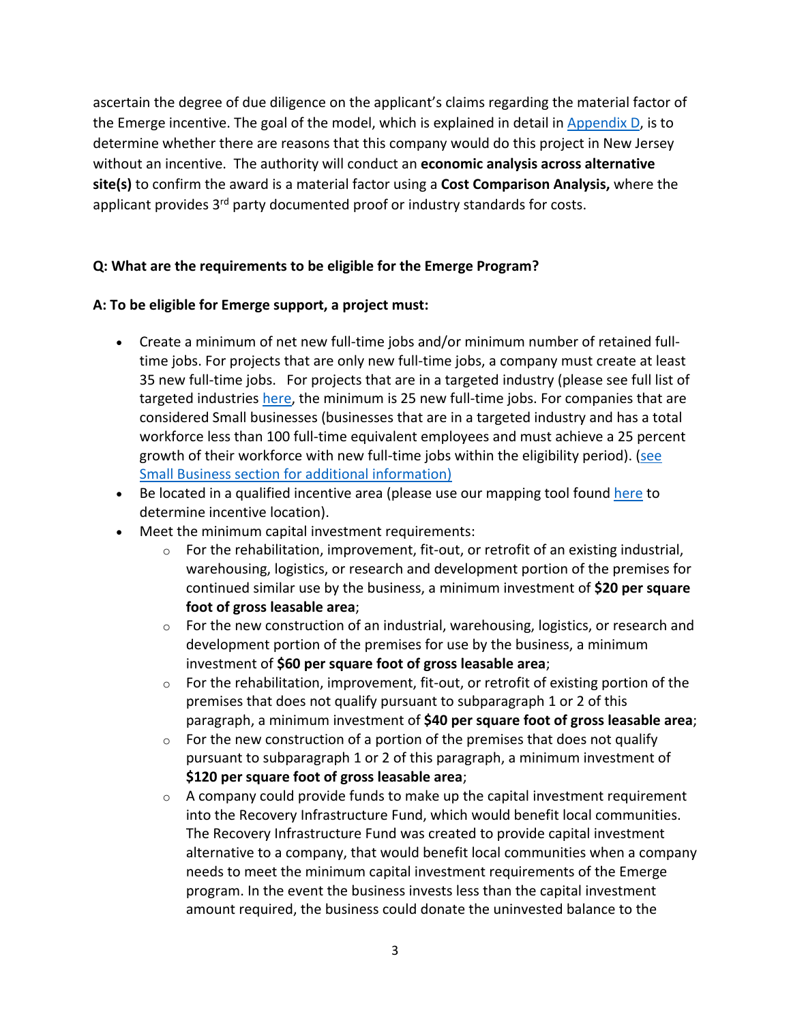ascertain the degree of due diligence on the applicant's claims regarding the material factor of the Emerge incentive. The goal of the model, which is explained in detail in [Appendix D,](https://1e7pr71cey5c3ol2neoaoz31-wpengine.netdna-ssl.com/wp-content/uploads/2021/05/Appx-D-Material-Factor-Considerations-2.pdf) is to determine whether there are reasons that this company would do this project in New Jersey without an incentive. The authority will conduct an **economic analysis across alternative site(s)** to confirm the award is a material factor using a **Cost Comparison Analysis,** where the applicant provides 3<sup>rd</sup> party documented proof or industry standards for costs.

### **Q: What are the requirements to be eligible for the Emerge Program?**

#### **A: To be eligible for Emerge support, a project must:**

- Create a minimum of net new full-time jobs and/or minimum number of retained fulltime jobs. For projects that are only new full-time jobs, a company must create at least 35 new full-time jobs. For projects that are in a targeted industry (please see full list of targeted industries [here,](https://1e7pr71cey5c3ol2neoaoz31-wpengine.netdna-ssl.com/wp-content/uploads/2021/05/Appendix-C-Targeted-Industries-Definitions.pdf) the minimum is 25 new full-time jobs. For companies that are considered Small businesses (businesses that are in a targeted industry and has a total workforce less than 100 full-time equivalent employees and must achieve a 25 percent growth of their workforce with new full-time jobs within the eligibility period). [\(see](#page-10-0)  [Small Business section for additional information\)](#page-10-0)
- Be located in a qualified incentive area (please use our mapping tool found [here](https://njeda.maps.arcgis.com/apps/webappviewer/index.html?id=8fed69ed4a664ec6b76f2a6ab633444c) to determine incentive location).
- Meet the minimum capital investment requirements:
	- $\circ$  For the rehabilitation, improvement, fit-out, or retrofit of an existing industrial, warehousing, logistics, or research and development portion of the premises for continued similar use by the business, a minimum investment of **\$20 per square foot of gross leasable area**;
	- $\circ$  For the new construction of an industrial, warehousing, logistics, or research and development portion of the premises for use by the business, a minimum investment of **\$60 per square foot of gross leasable area**;
	- $\circ$  For the rehabilitation, improvement, fit-out, or retrofit of existing portion of the premises that does not qualify pursuant to subparagraph 1 or 2 of this paragraph, a minimum investment of **\$40 per square foot of gross leasable area**;
	- $\circ$  For the new construction of a portion of the premises that does not qualify pursuant to subparagraph 1 or 2 of this paragraph, a minimum investment of **\$120 per square foot of gross leasable area**;
	- $\circ$  A company could provide funds to make up the capital investment requirement into the Recovery Infrastructure Fund, which would benefit local communities. The Recovery Infrastructure Fund was created to provide capital investment alternative to a company, that would benefit local communities when a company needs to meet the minimum capital investment requirements of the Emerge program. In the event the business invests less than the capital investment amount required, the business could donate the uninvested balance to the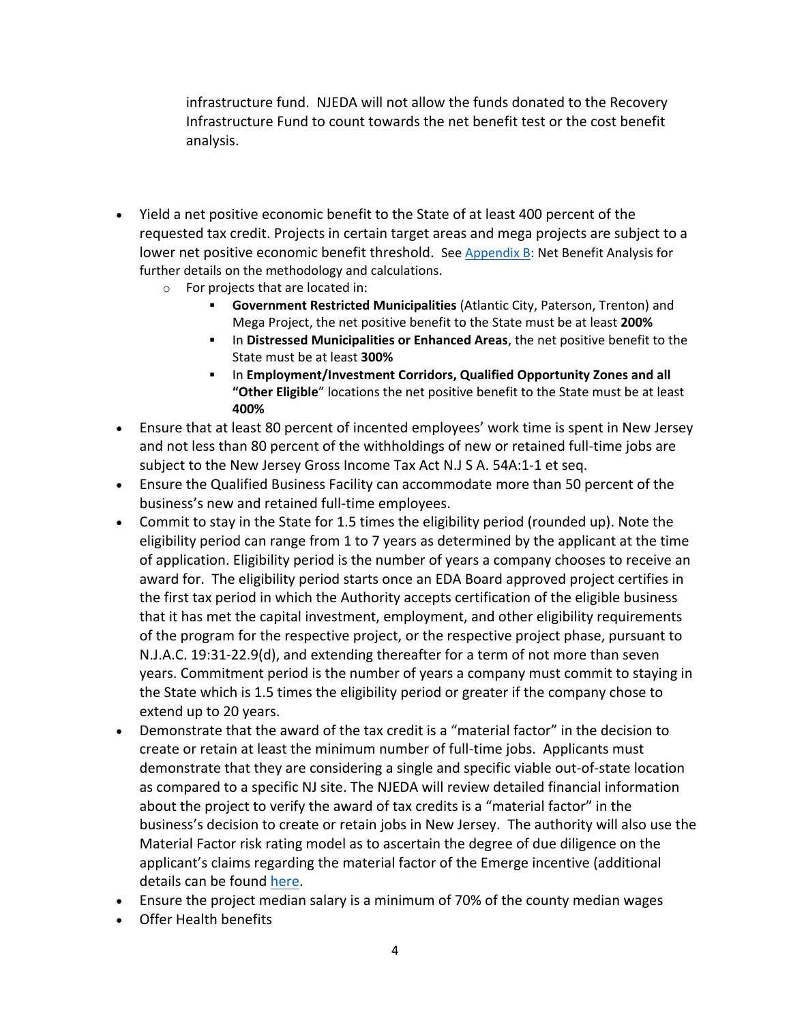infrastructure fund. NJEDA will not allow the funds donated to the Recovery Infrastructure Fund to count towards the net benefit test or the cost benefit analysis.

- Yield a net positive economic benefit to the State of at least 400 percent of the requested tax credit. Projects in certain target areas and mega projects are subject to a lower net positive economic benefit threshold. See [Appendix B:](https://1e7pr71cey5c3ol2neoaoz31-wpengine.netdna-ssl.com/wp-content/uploads/2021/05/Appx-B-Net-Benefit-Analysis.pdf) Net Benefit Analysis for further details on the methodology and calculations.
	- o For projects that are located in:
		- **Government Restricted Municipalities** (Atlantic City, Paterson, Trenton) and Mega Project, the net positive benefit to the State must be at least **200%**
		- In **Distressed Municipalities or Enhanced Areas**, the net positive benefit to the State must be at least **300%**
		- In **Employment/Investment Corridors, Qualified Opportunity Zones and all "Other Eligible**" locations the net positive benefit to the State must be at least **400%**
- Ensure that at least 80 percent of incented employees' work time is spent in New Jersey and not less than 80 percent of the withholdings of new or retained full-time jobs are subject to the New Jersey Gross Income Tax Act N.J S A. 54A:1-1 et seq.
- Ensure the Qualified Business Facility can accommodate more than 50 percent of the business's new and retained full-time employees.
- Commit to stay in the State for 1.5 times the eligibility period (rounded up). Note the eligibility period can range from 1 to 7 years as determined by the applicant at the time of application. Eligibility period is the number of years a company chooses to receive an award for. The eligibility period starts once an EDA Board approved project certifies in the first tax period in which the Authority accepts certification of the eligible business that it has met the capital investment, employment, and other eligibility requirements of the program for the respective project, or the respective project phase, pursuant to N.J.A.C. 19:31-22.9(d), and extending thereafter for a term of not more than seven years. Commitment period is the number of years a company must commit to staying in the State which is 1.5 times the eligibility period or greater if the company chose to extend up to 20 years.
- Demonstrate that the award of the tax credit is a "material factor" in the decision to create or retain at least the minimum number of full-time jobs. Applicants must demonstrate that they are considering a single and specific viable out-of-state location as compared to a specific NJ site. The NJEDA will review detailed financial information about the project to verify the award of tax credits is a "material factor" in the business's decision to create or retain jobs in New Jersey. The authority will also use the Material Factor risk rating model as to ascertain the degree of due diligence on the applicant's claims regarding the material factor of the Emerge incentive (additional details can be found [here.](https://1e7pr71cey5c3ol2neoaoz31-wpengine.netdna-ssl.com/wp-content/uploads/2021/05/Appx-D-Material-Factor-Considerations-2.pdf)
- Ensure the project median salary is a minimum of 70% of the county median wages
- Offer Health benefits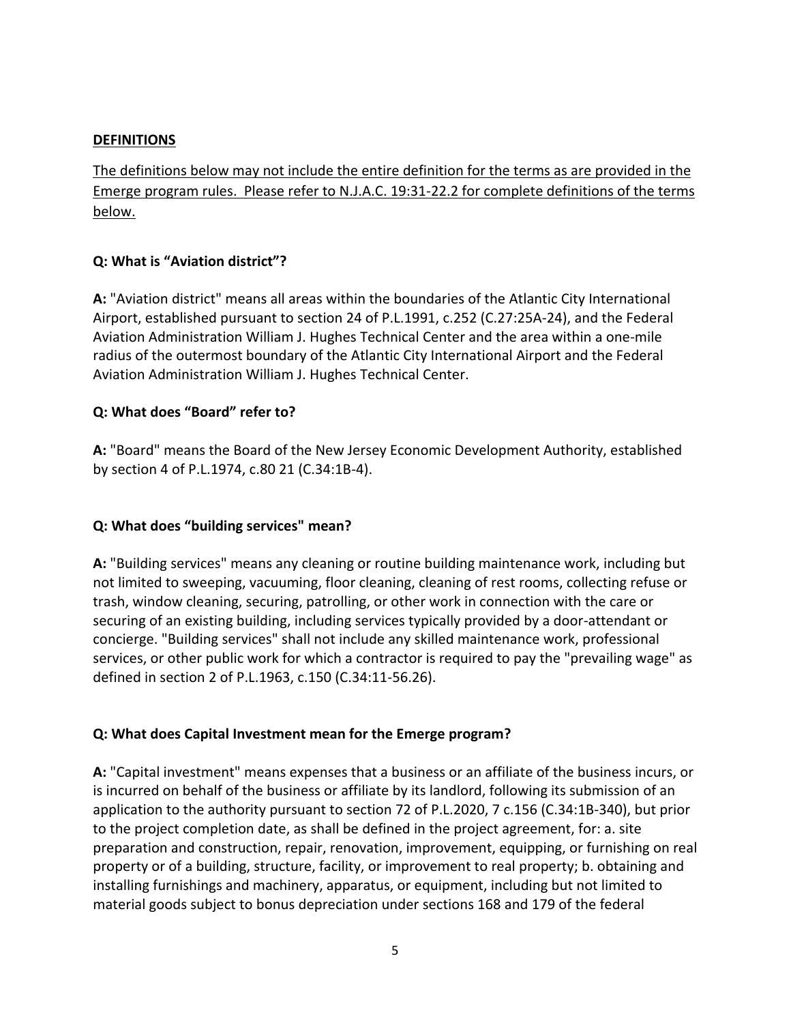#### **DEFINITIONS**

The definitions below may not include the entire definition for the terms as are provided in the Emerge program rules. Please refer to N.J.A.C. 19:31-22.2 for complete definitions of the terms below.

#### **Q: What is "Aviation district"?**

**A:** "Aviation district" means all areas within the boundaries of the Atlantic City International Airport, established pursuant to section 24 of P.L.1991, c.252 (C.27:25A-24), and the Federal Aviation Administration William J. Hughes Technical Center and the area within a one-mile radius of the outermost boundary of the Atlantic City International Airport and the Federal Aviation Administration William J. Hughes Technical Center.

#### **Q: What does "Board" refer to?**

**A:** "Board" means the Board of the New Jersey Economic Development Authority, established by section 4 of P.L.1974, c.80 21 (C.34:1B-4).

### **Q: What does "building services" mean?**

**A:** "Building services" means any cleaning or routine building maintenance work, including but not limited to sweeping, vacuuming, floor cleaning, cleaning of rest rooms, collecting refuse or trash, window cleaning, securing, patrolling, or other work in connection with the care or securing of an existing building, including services typically provided by a door-attendant or concierge. "Building services" shall not include any skilled maintenance work, professional services, or other public work for which a contractor is required to pay the "prevailing wage" as defined in section 2 of P.L.1963, c.150 (C.34:11-56.26).

#### **Q: What does Capital Investment mean for the Emerge program?**

**A:** "Capital investment" means expenses that a business or an affiliate of the business incurs, or is incurred on behalf of the business or affiliate by its landlord, following its submission of an application to the authority pursuant to section 72 of P.L.2020, 7 c.156 (C.34:1B-340), but prior to the project completion date, as shall be defined in the project agreement, for: a. site preparation and construction, repair, renovation, improvement, equipping, or furnishing on real property or of a building, structure, facility, or improvement to real property; b. obtaining and installing furnishings and machinery, apparatus, or equipment, including but not limited to material goods subject to bonus depreciation under sections 168 and 179 of the federal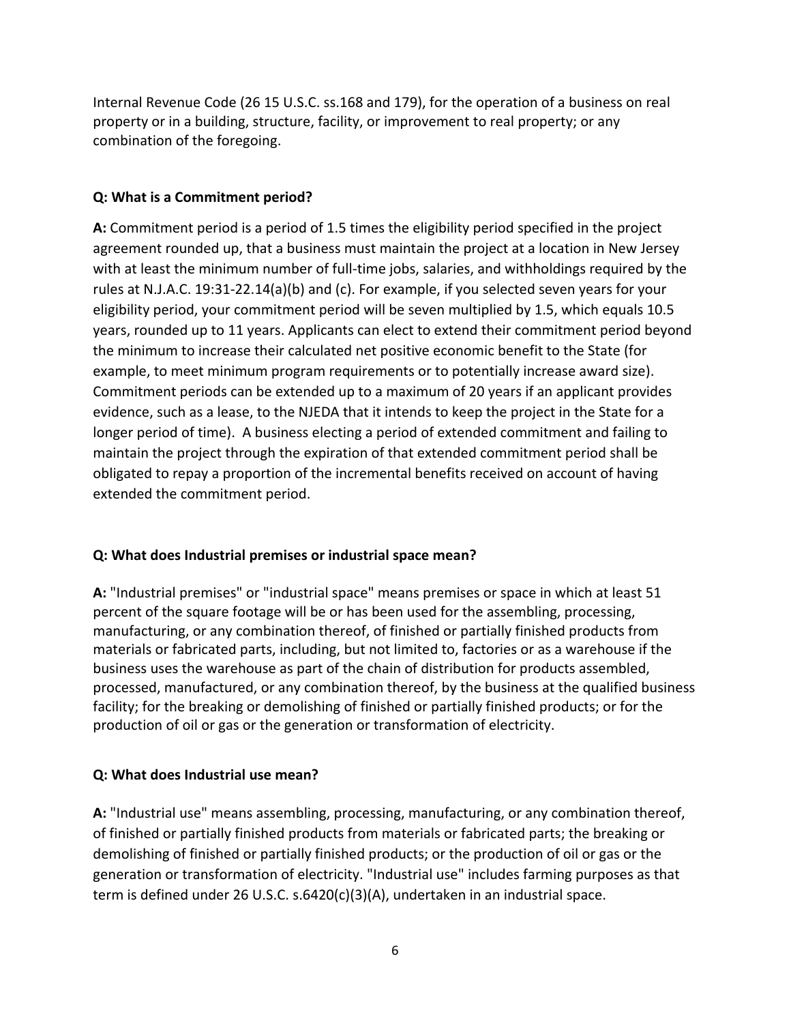Internal Revenue Code (26 15 U.S.C. ss.168 and 179), for the operation of a business on real property or in a building, structure, facility, or improvement to real property; or any combination of the foregoing.

### **Q: What is a Commitment period?**

**A:** Commitment period is a period of 1.5 times the eligibility period specified in the project agreement rounded up, that a business must maintain the project at a location in New Jersey with at least the minimum number of full-time jobs, salaries, and withholdings required by the rules at N.J.A.C. 19:31-22.14(a)(b) and (c). For example, if you selected seven years for your eligibility period, your commitment period will be seven multiplied by 1.5, which equals 10.5 years, rounded up to 11 years. Applicants can elect to extend their commitment period beyond the minimum to increase their calculated net positive economic benefit to the State (for example, to meet minimum program requirements or to potentially increase award size). Commitment periods can be extended up to a maximum of 20 years if an applicant provides evidence, such as a lease, to the NJEDA that it intends to keep the project in the State for a longer period of time). A business electing a period of extended commitment and failing to maintain the project through the expiration of that extended commitment period shall be obligated to repay a proportion of the incremental benefits received on account of having extended the commitment period.

## **Q: What does Industrial premises or industrial space mean?**

**A:** "Industrial premises" or "industrial space" means premises or space in which at least 51 percent of the square footage will be or has been used for the assembling, processing, manufacturing, or any combination thereof, of finished or partially finished products from materials or fabricated parts, including, but not limited to, factories or as a warehouse if the business uses the warehouse as part of the chain of distribution for products assembled, processed, manufactured, or any combination thereof, by the business at the qualified business facility; for the breaking or demolishing of finished or partially finished products; or for the production of oil or gas or the generation or transformation of electricity.

### **Q: What does Industrial use mean?**

**A:** "Industrial use" means assembling, processing, manufacturing, or any combination thereof, of finished or partially finished products from materials or fabricated parts; the breaking or demolishing of finished or partially finished products; or the production of oil or gas or the generation or transformation of electricity. "Industrial use" includes farming purposes as that term is defined under 26 U.S.C. s.6420(c)(3)(A), undertaken in an industrial space.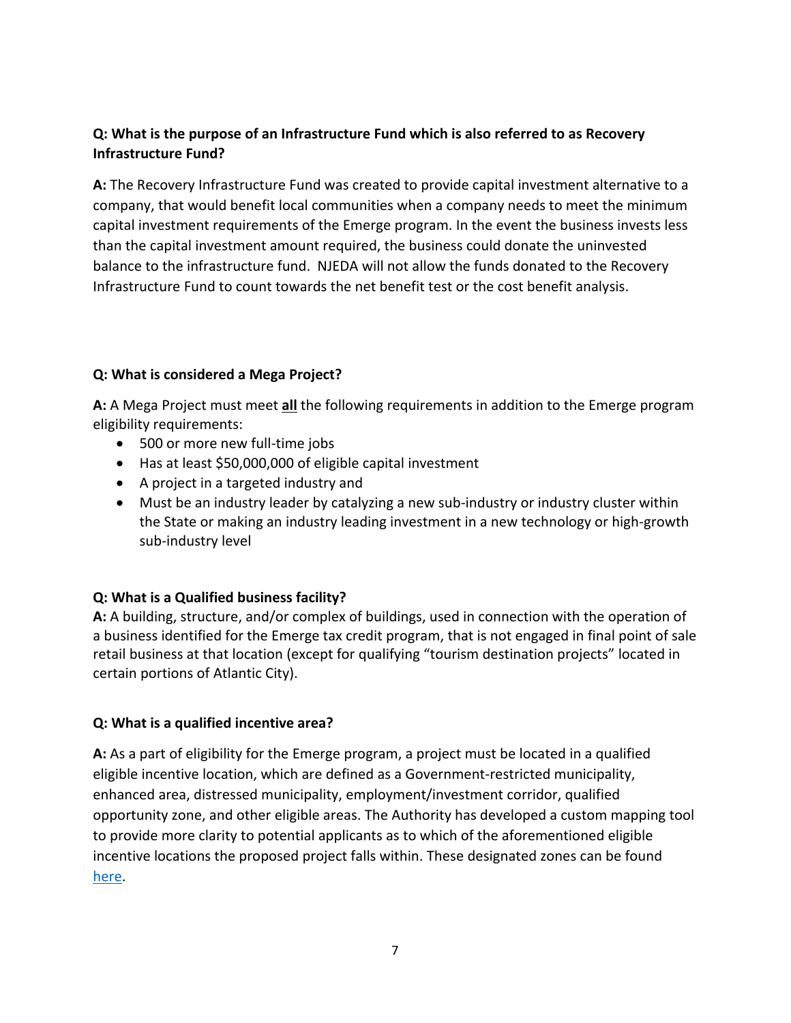### **Q: What is the purpose of an Infrastructure Fund which is also referred to as Recovery Infrastructure Fund?**

**A:** The Recovery Infrastructure Fund was created to provide capital investment alternative to a company, that would benefit local communities when a company needs to meet the minimum capital investment requirements of the Emerge program. In the event the business invests less than the capital investment amount required, the business could donate the uninvested balance to the infrastructure fund. NJEDA will not allow the funds donated to the Recovery Infrastructure Fund to count towards the net benefit test or the cost benefit analysis.

### **Q: What is considered a Mega Project?**

**A:** A Mega Project must meet **all** the following requirements in addition to the Emerge program eligibility requirements:

- 500 or more new full-time jobs
- Has at least \$50,000,000 of eligible capital investment
- A project in a targeted industry and
- Must be an industry leader by catalyzing a new sub-industry or industry cluster within the State or making an industry leading investment in a new technology or high-growth sub-industry level

### **Q: What is a Qualified business facility?**

**A:** A building, structure, and/or complex of buildings, used in connection with the operation of a business identified for the Emerge tax credit program, that is not engaged in final point of sale retail business at that location (except for qualifying "tourism destination projects" located in certain portions of Atlantic City).

#### **Q: What is a qualified incentive area?**

**A:** As a part of eligibility for the Emerge program, a project must be located in a qualified eligible incentive location, which are defined as a Government-restricted municipality, enhanced area, distressed municipality, employment/investment corridor, qualified opportunity zone, and other eligible areas. The Authority has developed a custom mapping tool to provide more clarity to potential applicants as to which of the aforementioned eligible incentive locations the proposed project falls within. These designated zones can be found [here.](https://njeda.maps.arcgis.com/apps/webappviewer/index.html?id=8fed69ed4a664ec6b76f2a6ab633444c)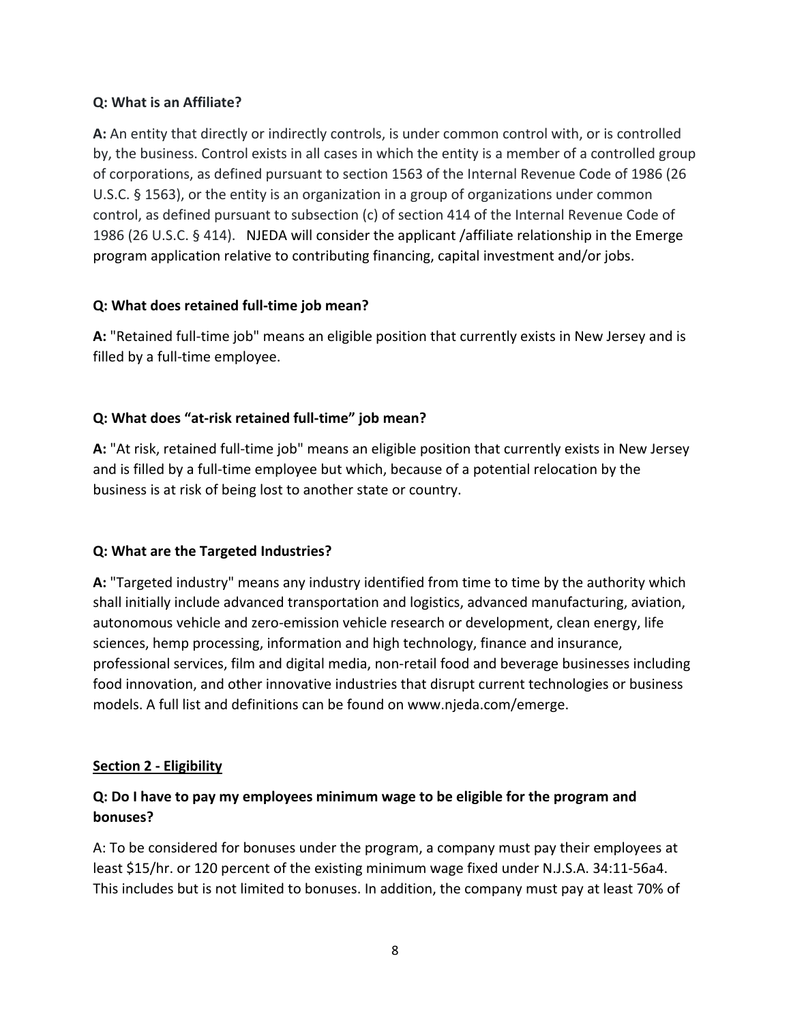#### **Q: What is an Affiliate?**

**A:** An entity that directly or indirectly controls, is under common control with, or is controlled by, the business. Control exists in all cases in which the entity is a member of a controlled group of corporations, as defined pursuant to section 1563 of the Internal Revenue Code of 1986 (26 U.S.C. § 1563), or the entity is an organization in a group of organizations under common control, as defined pursuant to subsection (c) of section 414 of the Internal Revenue Code of 1986 (26 U.S.C. § 414). NJEDA will consider the applicant /affiliate relationship in the Emerge program application relative to contributing financing, capital investment and/or jobs.

### **Q: What does retained full-time job mean?**

**A:** "Retained full-time job" means an eligible position that currently exists in New Jersey and is filled by a full-time employee.

## **Q: What does "at-risk retained full-time" job mean?**

**A:** "At risk, retained full-time job" means an eligible position that currently exists in New Jersey and is filled by a full-time employee but which, because of a potential relocation by the business is at risk of being lost to another state or country.

### **Q: What are the Targeted Industries?**

**A:** "Targeted industry" means any industry identified from time to time by the authority which shall initially include advanced transportation and logistics, advanced manufacturing, aviation, autonomous vehicle and zero-emission vehicle research or development, clean energy, life sciences, hemp processing, information and high technology, finance and insurance, professional services, film and digital media, non-retail food and beverage businesses including food innovation, and other innovative industries that disrupt current technologies or business models. A full list and definitions can be found on www.njeda.com/emerge.

### <span id="page-7-0"></span>**Section 2 - Eligibility**

## **Q: Do I have to pay my employees minimum wage to be eligible for the program and bonuses?**

A: To be considered for bonuses under the program, a company must pay their employees at least \$15/hr. or 120 percent of the existing minimum wage fixed under N.J.S.A. 34:11-56a4. This includes but is not limited to bonuses. In addition, the company must pay at least 70% of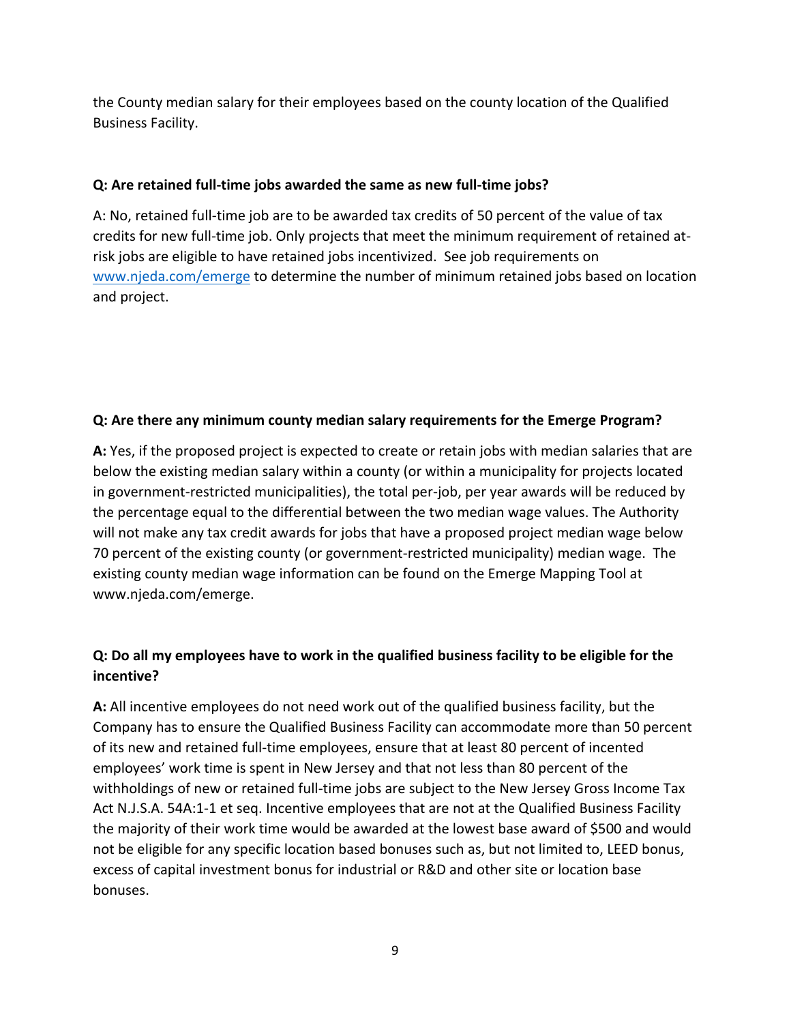the County median salary for their employees based on the county location of the Qualified Business Facility.

### **Q: Are retained full-time jobs awarded the same as new full-time jobs?**

A: No, retained full-time job are to be awarded tax credits of 50 percent of the value of tax credits for new full-time job. Only projects that meet the minimum requirement of retained atrisk jobs are eligible to have retained jobs incentivized. See job requirements on [www.njeda.com/emerge](http://www.njeda.com/emerge) to determine the number of minimum retained jobs based on location and project.

### **Q: Are there any minimum county median salary requirements for the Emerge Program?**

**A:** Yes, if the proposed project is expected to create or retain jobs with median salaries that are below the existing median salary within a county (or within a municipality for projects located in government-restricted municipalities), the total per-job, per year awards will be reduced by the percentage equal to the differential between the two median wage values. The Authority will not make any tax credit awards for jobs that have a proposed project median wage below 70 percent of the existing county (or government-restricted municipality) median wage. The existing county median wage information can be found on the Emerge Mapping Tool at www.njeda.com/emerge.

## **Q: Do all my employees have to work in the qualified business facility to be eligible for the incentive?**

**A:** All incentive employees do not need work out of the qualified business facility, but the Company has to ensure the Qualified Business Facility can accommodate more than 50 percent of its new and retained full-time employees, ensure that at least 80 percent of incented employees' work time is spent in New Jersey and that not less than 80 percent of the withholdings of new or retained full-time jobs are subject to the New Jersey Gross Income Tax Act N.J.S.A. 54A:1-1 et seq. Incentive employees that are not at the Qualified Business Facility the majority of their work time would be awarded at the lowest base award of \$500 and would not be eligible for any specific location based bonuses such as, but not limited to, LEED bonus, excess of capital investment bonus for industrial or R&D and other site or location base bonuses.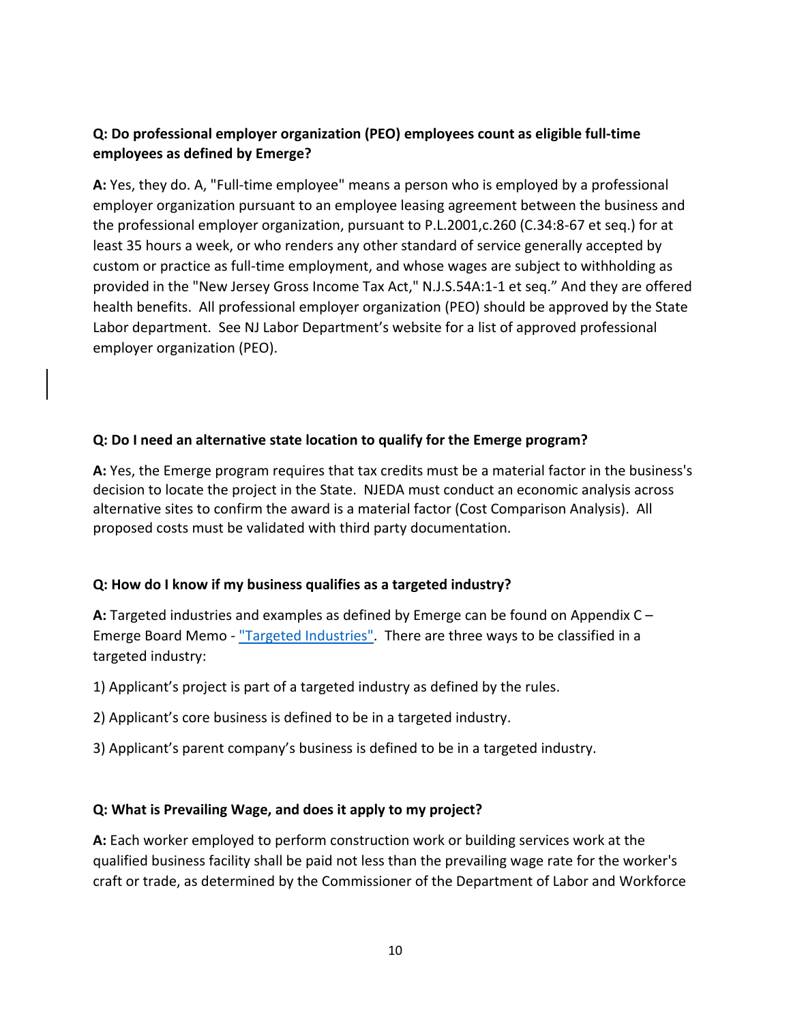## **Q: Do professional employer organization (PEO) employees count as eligible full-time employees as defined by Emerge?**

**A:** Yes, they do. A, "Full-time employee" means a person who is employed by a professional employer organization pursuant to an employee leasing agreement between the business and the professional employer organization, pursuant to P.L.2001,c.260 (C.34:8-67 et seq.) for at least 35 hours a week, or who renders any other standard of service generally accepted by custom or practice as full-time employment, and whose wages are subject to withholding as provided in the "New Jersey Gross Income Tax Act," N.J.S.54A:1-1 et seq." And they are offered health benefits. All professional employer organization (PEO) should be approved by the State Labor department. See NJ Labor Department's website for a list of approved professional employer organization (PEO).

### **Q: Do I need an alternative state location to qualify for the Emerge program?**

**A:** Yes, the Emerge program requires that tax credits must be a material factor in the business's decision to locate the project in the State. NJEDA must conduct an economic analysis across alternative sites to confirm the award is a material factor (Cost Comparison Analysis). All proposed costs must be validated with third party documentation.

### **Q: How do I know if my business qualifies as a targeted industry?**

**A:** Targeted industries and examples as defined by Emerge can be found on Appendix C – Emerge Board Memo - ["Targeted Industries".](https://1e7pr71cey5c3ol2neoaoz31-wpengine.netdna-ssl.com/wp-content/uploads/2021/05/Appendix-C-Targeted-Industries-Definitions.pdf) There are three ways to be classified in a targeted industry:

1) Applicant's project is part of a targeted industry as defined by the rules.

2) Applicant's core business is defined to be in a targeted industry.

3) Applicant's parent company's business is defined to be in a targeted industry.

#### **Q: What is Prevailing Wage, and does it apply to my project?**

**A:** Each worker employed to perform construction work or building services work at the qualified business facility shall be paid not less than the prevailing wage rate for the worker's craft or trade, as determined by the Commissioner of the Department of Labor and Workforce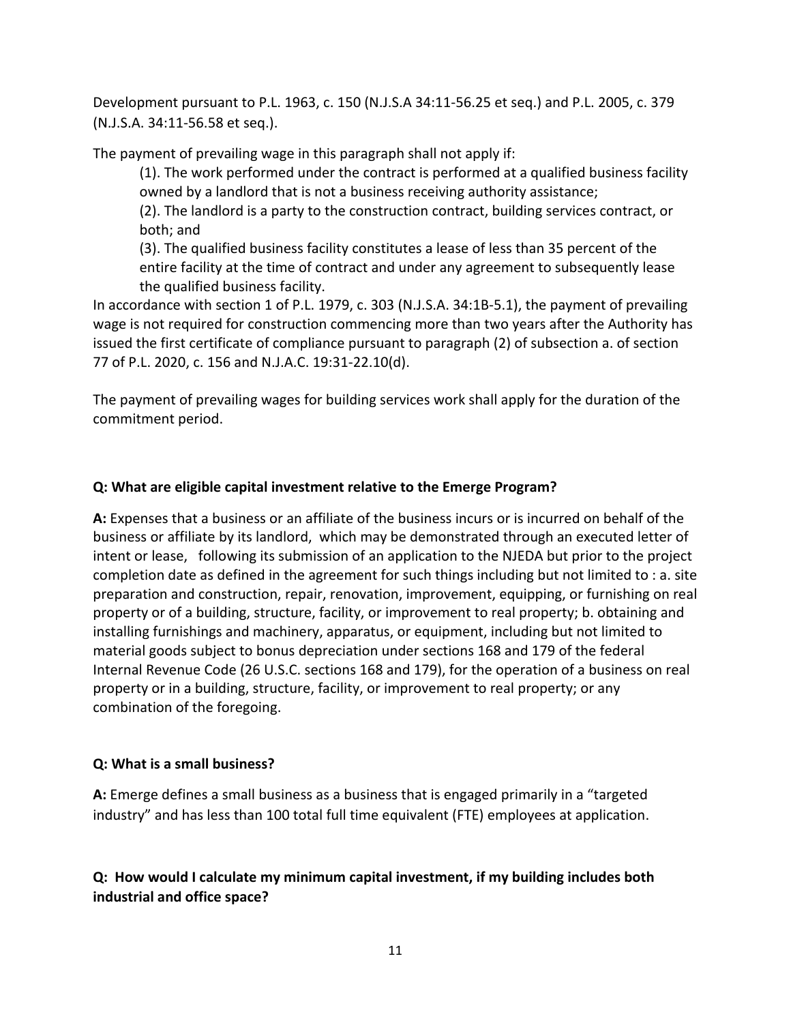Development pursuant to P.L. 1963, c. 150 (N.J.S.A 34:11-56.25 et seq.) and P.L. 2005, c. 379 (N.J.S.A. 34:11-56.58 et seq.).

The payment of prevailing wage in this paragraph shall not apply if:

(1). The work performed under the contract is performed at a qualified business facility owned by a landlord that is not a business receiving authority assistance;

(2). The landlord is a party to the construction contract, building services contract, or both; and

(3). The qualified business facility constitutes a lease of less than 35 percent of the entire facility at the time of contract and under any agreement to subsequently lease the qualified business facility.

In accordance with section 1 of P.L. 1979, c. 303 (N.J.S.A. 34:1B-5.1), the payment of prevailing wage is not required for construction commencing more than two years after the Authority has issued the first certificate of compliance pursuant to paragraph (2) of subsection a. of section 77 of P.L. 2020, c. 156 and N.J.A.C. 19:31-22.10(d).

The payment of prevailing wages for building services work shall apply for the duration of the commitment period.

### **Q: What are eligible capital investment relative to the Emerge Program?**

**A:** Expenses that a business or an affiliate of the business incurs or is incurred on behalf of the business or affiliate by its landlord, which may be demonstrated through an executed letter of intent or lease, following its submission of an application to the NJEDA but prior to the project completion date as defined in the agreement for such things including but not limited to : a. site preparation and construction, repair, renovation, improvement, equipping, or furnishing on real property or of a building, structure, facility, or improvement to real property; b. obtaining and installing furnishings and machinery, apparatus, or equipment, including but not limited to material goods subject to bonus depreciation under sections 168 and 179 of the federal Internal Revenue Code (26 U.S.C. sections 168 and 179), for the operation of a business on real property or in a building, structure, facility, or improvement to real property; or any combination of the foregoing.

### <span id="page-10-0"></span>**Q: What is a small business?**

**A:** Emerge defines a small business as a business that is engaged primarily in a "targeted industry" and has less than 100 total full time equivalent (FTE) employees at application.

## **Q: How would I calculate my minimum capital investment, if my building includes both industrial and office space?**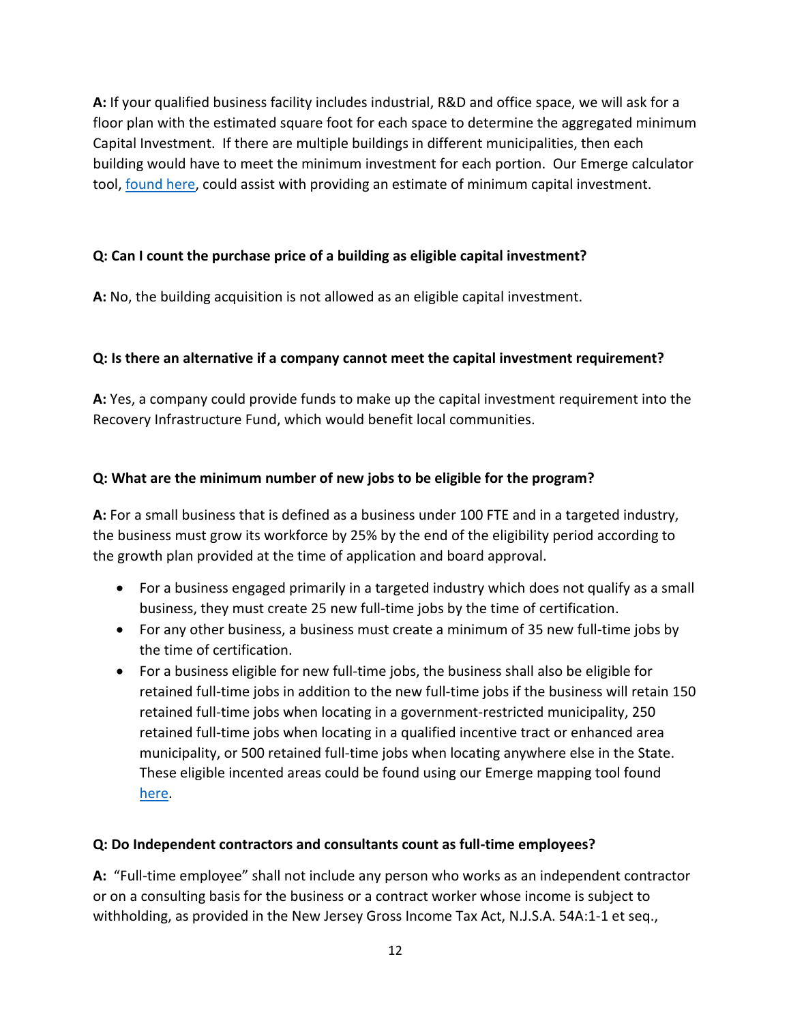**A:** If your qualified business facility includes industrial, R&D and office space, we will ask for a floor plan with the estimated square foot for each space to determine the aggregated minimum Capital Investment. If there are multiple buildings in different municipalities, then each building would have to meet the minimum investment for each portion. Our Emerge calculator tool, [found here,](https://www.njeda.com/emerge/award-size-calculator/) could assist with providing an estimate of minimum capital investment.

### **Q: Can I count the purchase price of a building as eligible capital investment?**

**A:** No, the building acquisition is not allowed as an eligible capital investment.

### **Q: Is there an alternative if a company cannot meet the capital investment requirement?**

**A:** Yes, a company could provide funds to make up the capital investment requirement into the Recovery Infrastructure Fund, which would benefit local communities.

### **Q: What are the minimum number of new jobs to be eligible for the program?**

**A:** For a small business that is defined as a business under 100 FTE and in a targeted industry, the business must grow its workforce by 25% by the end of the eligibility period according to the growth plan provided at the time of application and board approval.

- For a business engaged primarily in a targeted industry which does not qualify as a small business, they must create 25 new full-time jobs by the time of certification.
- For any other business, a business must create a minimum of 35 new full-time jobs by the time of certification.
- For a business eligible for new full-time jobs, the business shall also be eligible for retained full-time jobs in addition to the new full-time jobs if the business will retain 150 retained full-time jobs when locating in a government-restricted municipality, 250 retained full-time jobs when locating in a qualified incentive tract or enhanced area municipality, or 500 retained full-time jobs when locating anywhere else in the State. These eligible incented areas could be found using our Emerge mapping tool found [here.](https://njeda.maps.arcgis.com/apps/webappviewer/index.html?id=8fed69ed4a664ec6b76f2a6ab633444c)

### **Q: Do Independent contractors and consultants count as full-time employees?**

**A:** "Full-time employee" shall not include any person who works as an independent contractor or on a consulting basis for the business or a contract worker whose income is subject to withholding, as provided in the New Jersey Gross Income Tax Act, N.J.S.A. 54A:1-1 et seq.,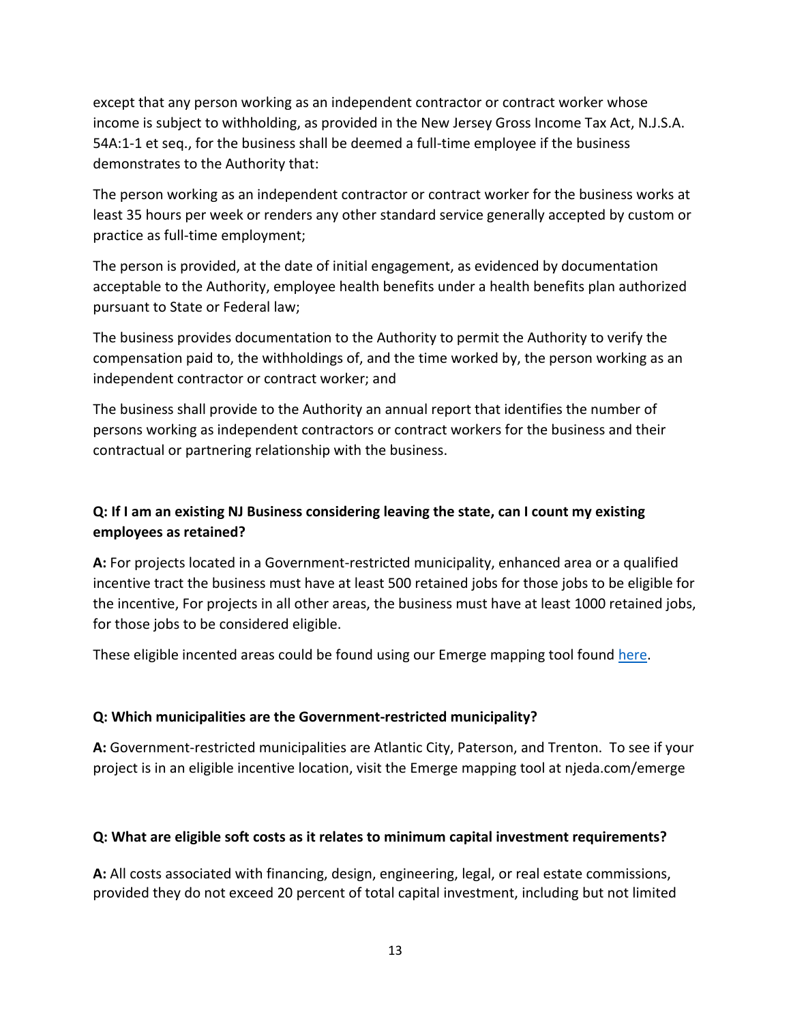except that any person working as an independent contractor or contract worker whose income is subject to withholding, as provided in the New Jersey Gross Income Tax Act, N.J.S.A. 54A:1-1 et seq., for the business shall be deemed a full-time employee if the business demonstrates to the Authority that:

The person working as an independent contractor or contract worker for the business works at least 35 hours per week or renders any other standard service generally accepted by custom or practice as full-time employment;

The person is provided, at the date of initial engagement, as evidenced by documentation acceptable to the Authority, employee health benefits under a health benefits plan authorized pursuant to State or Federal law;

The business provides documentation to the Authority to permit the Authority to verify the compensation paid to, the withholdings of, and the time worked by, the person working as an independent contractor or contract worker; and

The business shall provide to the Authority an annual report that identifies the number of persons working as independent contractors or contract workers for the business and their contractual or partnering relationship with the business.

## **Q: If I am an existing NJ Business considering leaving the state, can I count my existing employees as retained?**

**A:** For projects located in a Government-restricted municipality, enhanced area or a qualified incentive tract the business must have at least 500 retained jobs for those jobs to be eligible for the incentive, For projects in all other areas, the business must have at least 1000 retained jobs, for those jobs to be considered eligible.

These eligible incented areas could be found using our Emerge mapping tool found [here.](https://njeda.maps.arcgis.com/apps/webappviewer/index.html?id=8fed69ed4a664ec6b76f2a6ab633444c)

### **Q: Which municipalities are the Government-restricted municipality?**

**A:** Government-restricted municipalities are Atlantic City, Paterson, and Trenton. To see if your project is in an eligible incentive location, visit the Emerge mapping tool at njeda.com/emerge

#### **Q: What are eligible soft costs as it relates to minimum capital investment requirements?**

**A:** All costs associated with financing, design, engineering, legal, or real estate commissions, provided they do not exceed 20 percent of total capital investment, including but not limited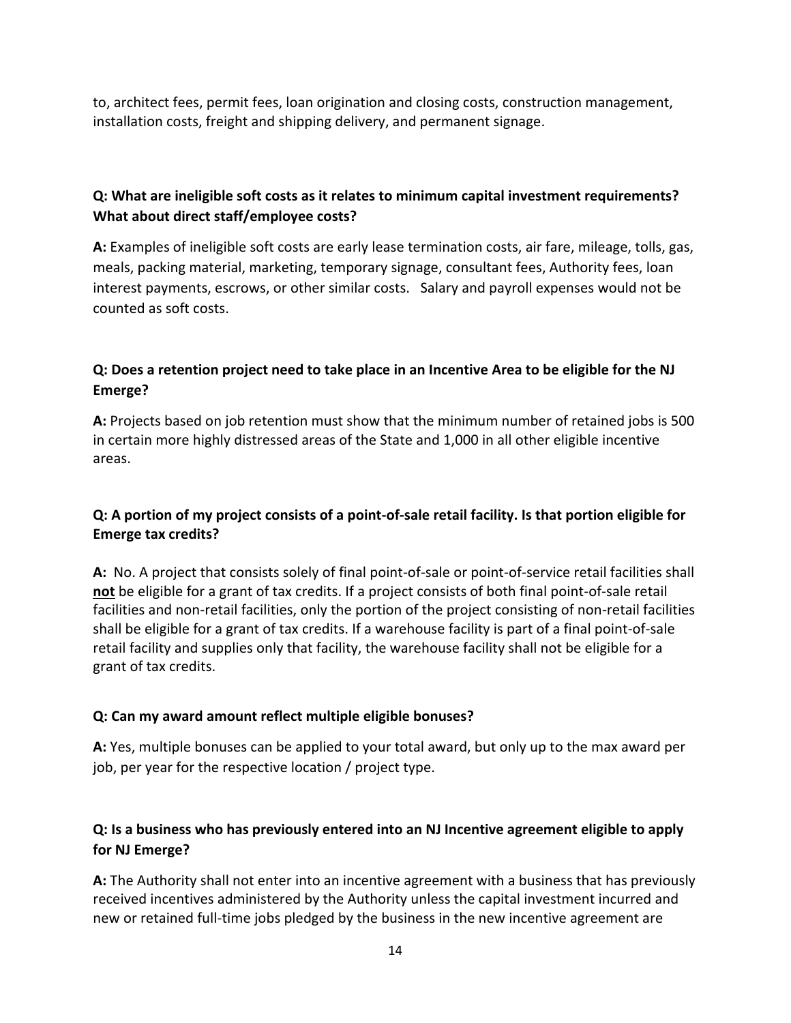to, architect fees, permit fees, loan origination and closing costs, construction management, installation costs, freight and shipping delivery, and permanent signage.

## **Q: What are ineligible soft costs as it relates to minimum capital investment requirements? What about direct staff/employee costs?**

**A:** Examples of ineligible soft costs are early lease termination costs, air fare, mileage, tolls, gas, meals, packing material, marketing, temporary signage, consultant fees, Authority fees, loan interest payments, escrows, or other similar costs. Salary and payroll expenses would not be counted as soft costs.

## **Q: Does a retention project need to take place in an Incentive Area to be eligible for the NJ Emerge?**

**A:** Projects based on job retention must show that the minimum number of retained jobs is 500 in certain more highly distressed areas of the State and 1,000 in all other eligible incentive areas.

## **Q: A portion of my project consists of a point-of-sale retail facility. Is that portion eligible for Emerge tax credits?**

**A:** No. A project that consists solely of final point-of-sale or point-of-service retail facilities shall **not** be eligible for a grant of tax credits. If a project consists of both final point-of-sale retail facilities and non-retail facilities, only the portion of the project consisting of non-retail facilities shall be eligible for a grant of tax credits. If a warehouse facility is part of a final point-of-sale retail facility and supplies only that facility, the warehouse facility shall not be eligible for a grant of tax credits.

## **Q: Can my award amount reflect multiple eligible bonuses?**

**A:** Yes, multiple bonuses can be applied to your total award, but only up to the max award per job, per year for the respective location / project type.

# **Q: Is a business who has previously entered into an NJ Incentive agreement eligible to apply for NJ Emerge?**

**A:** The Authority shall not enter into an incentive agreement with a business that has previously received incentives administered by the Authority unless the capital investment incurred and new or retained full-time jobs pledged by the business in the new incentive agreement are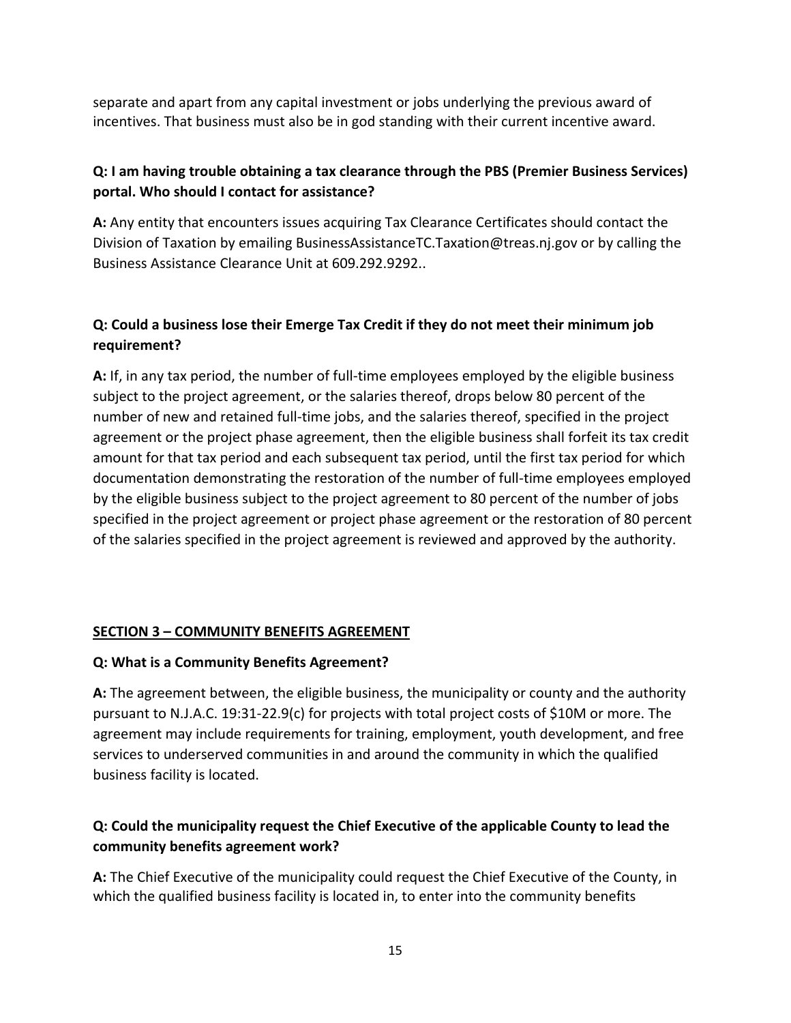separate and apart from any capital investment or jobs underlying the previous award of incentives. That business must also be in god standing with their current incentive award.

## **Q: I am having trouble obtaining a tax clearance through the PBS (Premier Business Services) portal. Who should I contact for assistance?**

**A:** Any entity that encounters issues acquiring Tax Clearance Certificates should contact the Division of Taxation by emailing BusinessAssistanceTC.Taxation@treas.nj.gov or by calling the Business Assistance Clearance Unit at 609.292.9292..

## **Q: Could a business lose their Emerge Tax Credit if they do not meet their minimum job requirement?**

**A:** If, in any tax period, the number of full-time employees employed by the eligible business subject to the project agreement, or the salaries thereof, drops below 80 percent of the number of new and retained full-time jobs, and the salaries thereof, specified in the project agreement or the project phase agreement, then the eligible business shall forfeit its tax credit amount for that tax period and each subsequent tax period, until the first tax period for which documentation demonstrating the restoration of the number of full-time employees employed by the eligible business subject to the project agreement to 80 percent of the number of jobs specified in the project agreement or project phase agreement or the restoration of 80 percent of the salaries specified in the project agreement is reviewed and approved by the authority.

### **SECTION 3 – COMMUNITY BENEFITS AGREEMENT**

### **Q: What is a Community Benefits Agreement?**

**A:** The agreement between, the eligible business, the municipality or county and the authority pursuant to N.J.A.C. 19:31-22.9(c) for projects with total project costs of \$10M or more. The agreement may include requirements for training, employment, youth development, and free services to underserved communities in and around the community in which the qualified business facility is located.

# **Q: Could the municipality request the Chief Executive of the applicable County to lead the community benefits agreement work?**

**A:** The Chief Executive of the municipality could request the Chief Executive of the County, in which the qualified business facility is located in, to enter into the community benefits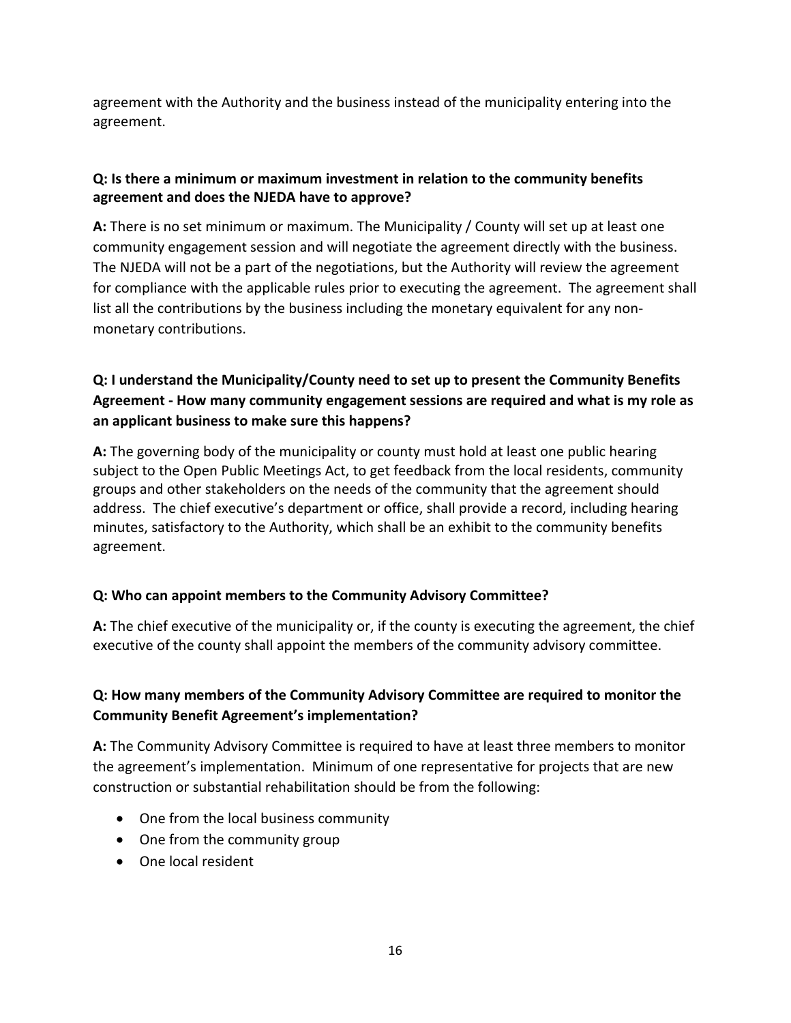agreement with the Authority and the business instead of the municipality entering into the agreement.

## **Q: Is there a minimum or maximum investment in relation to the community benefits agreement and does the NJEDA have to approve?**

**A:** There is no set minimum or maximum. The Municipality / County will set up at least one community engagement session and will negotiate the agreement directly with the business. The NJEDA will not be a part of the negotiations, but the Authority will review the agreement for compliance with the applicable rules prior to executing the agreement. The agreement shall list all the contributions by the business including the monetary equivalent for any nonmonetary contributions.

# **Q: I understand the Municipality/County need to set up to present the Community Benefits Agreement - How many community engagement sessions are required and what is my role as an applicant business to make sure this happens?**

**A:** The governing body of the municipality or county must hold at least one public hearing subject to the Open Public Meetings Act, to get feedback from the local residents, community groups and other stakeholders on the needs of the community that the agreement should address. The chief executive's department or office, shall provide a record, including hearing minutes, satisfactory to the Authority, which shall be an exhibit to the community benefits agreement.

## **Q: Who can appoint members to the Community Advisory Committee?**

**A:** The chief executive of the municipality or, if the county is executing the agreement, the chief executive of the county shall appoint the members of the community advisory committee.

## **Q: How many members of the Community Advisory Committee are required to monitor the Community Benefit Agreement's implementation?**

**A:** The Community Advisory Committee is required to have at least three members to monitor the agreement's implementation. Minimum of one representative for projects that are new construction or substantial rehabilitation should be from the following:

- One from the local business community
- One from the community group
- One local resident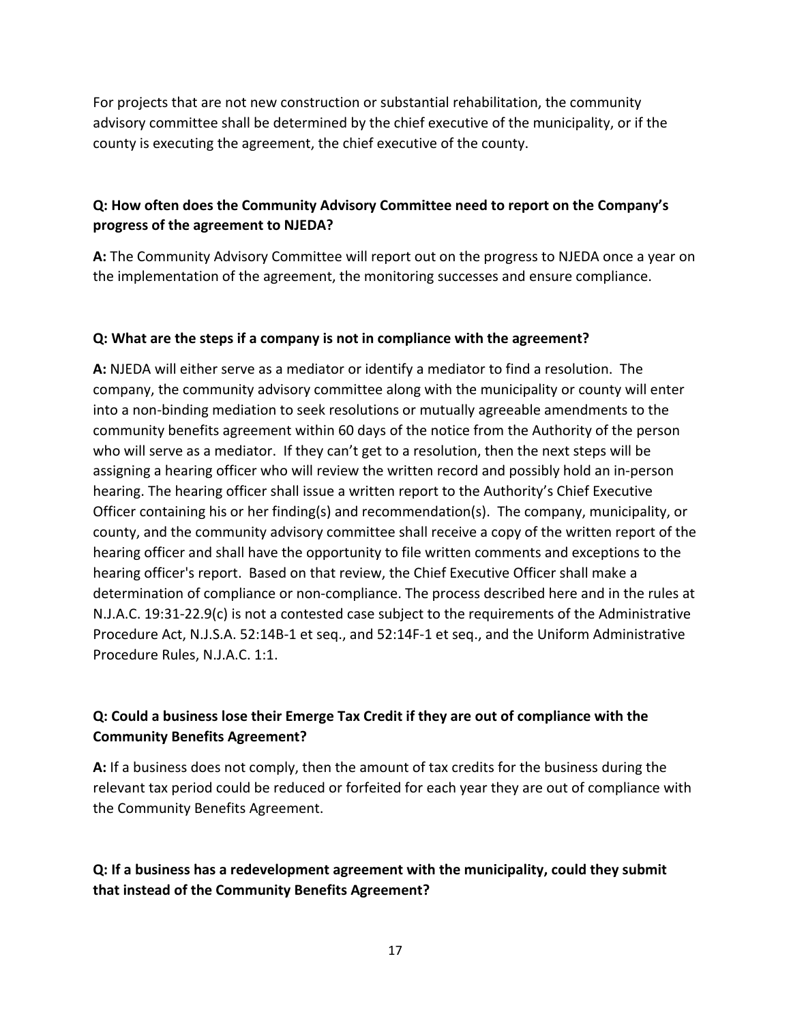For projects that are not new construction or substantial rehabilitation, the community advisory committee shall be determined by the chief executive of the municipality, or if the county is executing the agreement, the chief executive of the county.

### **Q: How often does the Community Advisory Committee need to report on the Company's progress of the agreement to NJEDA?**

**A:** The Community Advisory Committee will report out on the progress to NJEDA once a year on the implementation of the agreement, the monitoring successes and ensure compliance.

### **Q: What are the steps if a company is not in compliance with the agreement?**

**A:** NJEDA will either serve as a mediator or identify a mediator to find a resolution. The company, the community advisory committee along with the municipality or county will enter into a non-binding mediation to seek resolutions or mutually agreeable amendments to the community benefits agreement within 60 days of the notice from the Authority of the person who will serve as a mediator. If they can't get to a resolution, then the next steps will be assigning a hearing officer who will review the written record and possibly hold an in-person hearing. The hearing officer shall issue a written report to the Authority's Chief Executive Officer containing his or her finding(s) and recommendation(s). The company, municipality, or county, and the community advisory committee shall receive a copy of the written report of the hearing officer and shall have the opportunity to file written comments and exceptions to the hearing officer's report. Based on that review, the Chief Executive Officer shall make a determination of compliance or non-compliance. The process described here and in the rules at N.J.A.C. 19:31-22.9(c) is not a contested case subject to the requirements of the Administrative Procedure Act, N.J.S.A. 52:14B-1 et seq., and 52:14F-1 et seq., and the Uniform Administrative Procedure Rules, N.J.A.C. 1:1.

## **Q: Could a business lose their Emerge Tax Credit if they are out of compliance with the Community Benefits Agreement?**

**A:** If a business does not comply, then the amount of tax credits for the business during the relevant tax period could be reduced or forfeited for each year they are out of compliance with the Community Benefits Agreement.

## **Q: If a business has a redevelopment agreement with the municipality, could they submit that instead of the Community Benefits Agreement?**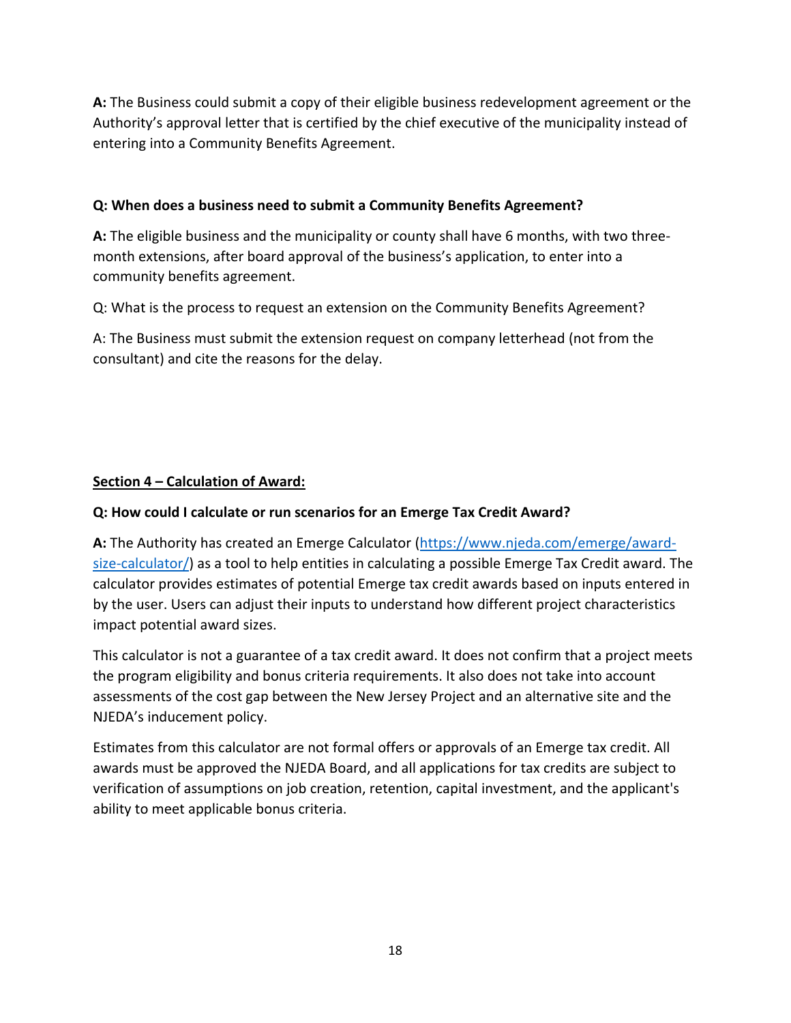**A:** The Business could submit a copy of their eligible business redevelopment agreement or the Authority's approval letter that is certified by the chief executive of the municipality instead of entering into a Community Benefits Agreement.

### **Q: When does a business need to submit a Community Benefits Agreement?**

**A:** The eligible business and the municipality or county shall have 6 months, with two threemonth extensions, after board approval of the business's application, to enter into a community benefits agreement.

Q: What is the process to request an extension on the Community Benefits Agreement?

A: The Business must submit the extension request on company letterhead (not from the consultant) and cite the reasons for the delay.

## **Section 4 – Calculation of Award:**

### **Q: How could I calculate or run scenarios for an Emerge Tax Credit Award?**

**A:** The Authority has created an Emerge Calculator [\(https://www.njeda.com/emerge/award](https://www.njeda.com/emerge/award-size-calculator/)[size-calculator/\)](https://www.njeda.com/emerge/award-size-calculator/) as a tool to help entities in calculating a possible Emerge Tax Credit award. The calculator provides estimates of potential Emerge tax credit awards based on inputs entered in by the user. Users can adjust their inputs to understand how different project characteristics impact potential award sizes.

This calculator is not a guarantee of a tax credit award. It does not confirm that a project meets the program eligibility and bonus criteria requirements. It also does not take into account assessments of the cost gap between the New Jersey Project and an alternative site and the NJEDA's inducement policy.

Estimates from this calculator are not formal offers or approvals of an Emerge tax credit. All awards must be approved the NJEDA Board, and all applications for tax credits are subject to verification of assumptions on job creation, retention, capital investment, and the applicant's ability to meet applicable bonus criteria.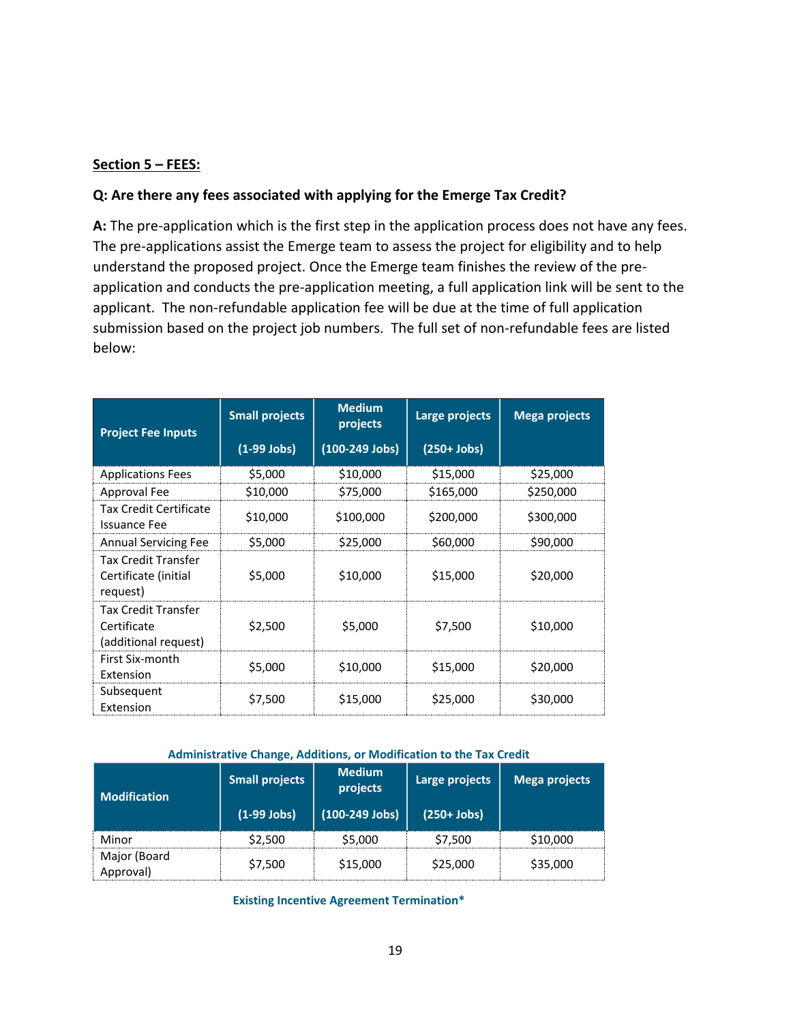#### **Section 5 – FEES:**

#### **Q: Are there any fees associated with applying for the Emerge Tax Credit?**

**A:** The pre-application which is the first step in the application process does not have any fees. The pre-applications assist the Emerge team to assess the project for eligibility and to help understand the proposed project. Once the Emerge team finishes the review of the preapplication and conducts the pre-application meeting, a full application link will be sent to the applicant. The non-refundable application fee will be due at the time of full application submission based on the project job numbers. The full set of non-refundable fees are listed below:

| <b>Project Fee Inputs</b>                                         | <b>Small projects</b> | <b>Medium</b><br>projects | Large projects | <b>Mega projects</b> |
|-------------------------------------------------------------------|-----------------------|---------------------------|----------------|----------------------|
|                                                                   | $(1-99$ Jobs)         | $(100-249$ Jobs)          | $(250+Jobs)$   |                      |
| <b>Applications Fees</b>                                          | \$5,000               | \$10,000                  | \$15,000       | \$25,000             |
| Approval Fee                                                      | \$10,000              | \$75,000                  | \$165,000      | \$250,000            |
| <b>Tax Credit Certificate</b><br><b>Issuance Fee</b>              | \$10,000              | \$100,000                 | \$200,000      | \$300,000            |
| <b>Annual Servicing Fee</b>                                       | \$5,000               | \$25,000                  | \$60,000       | \$90,000             |
| <b>Tax Credit Transfer</b><br>Certificate (initial<br>request)    | \$5,000               | \$10,000                  | \$15,000       | \$20,000             |
| <b>Tax Credit Transfer</b><br>Certificate<br>(additional request) | \$2,500               | \$5,000                   | \$7,500        | \$10,000             |
| First Six-month<br>Extension                                      | \$5,000               | \$10,000                  | \$15,000       | \$20,000             |
| Subsequent<br>Extension                                           | \$7,500               | \$15,000                  | \$25,000       | \$30,000             |

#### **Administrative Change, Additions, or Modification to the Tax Credit**

| <b>Modification</b>       | <b>Small projects</b> | <b>Medium</b><br>projects | Large projects | Mega projects |
|---------------------------|-----------------------|---------------------------|----------------|---------------|
|                           | $(1-99$ Jobs)         | $(100-249$ Jobs)          | $(250+Jobs)$   |               |
| Minor                     | \$2,500               | \$5,000                   | \$7,500        | \$10,000      |
| Major (Board<br>Approval) | \$7,500               | \$15,000                  | \$25,000       | \$35,000      |

**Existing Incentive Agreement Termination\***